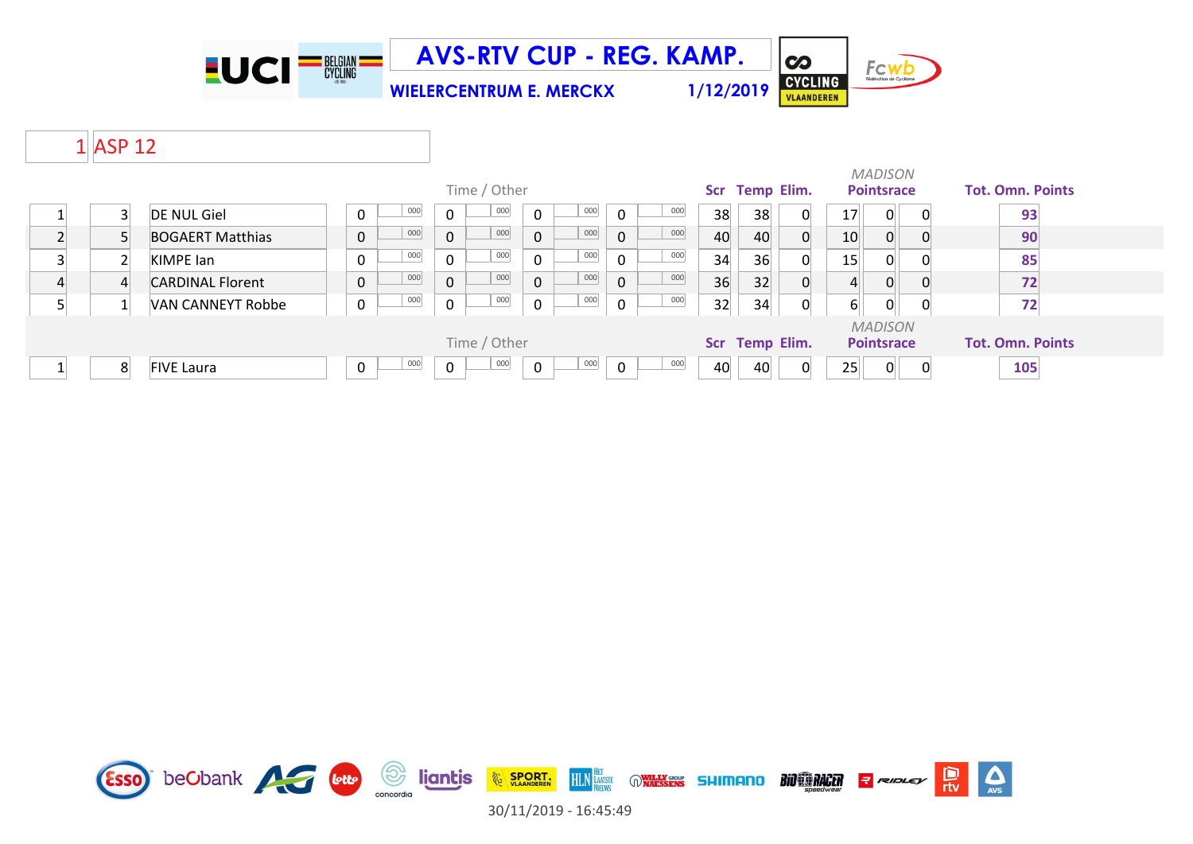

**WIELERCENTRUM E. MERCKX 1/12/2019**

Fcwb CYCLING

 $\overline{\mathbf{c}}$ 

# 1 ASP 12

|                                |                          |                       |              | Time / Other |                     |              |         |    | Scr Temp Elim. |          |                | <b>MADISON</b><br><b>Pointsrace</b> | <b>Tot. Omn. Points</b> |
|--------------------------------|--------------------------|-----------------------|--------------|--------------|---------------------|--------------|---------|----|----------------|----------|----------------|-------------------------------------|-------------------------|
|                                | <b>DE NUL Giel</b>       | 000<br>0              | 0            | 000          | 000<br>$\mathbf{0}$ | $\mathbf 0$  | 000     | 38 | 38             | 0        | 17             | $\Omega$                            | 93                      |
|                                | <b>BOGAERT Matthias</b>  | 000<br>$\mathbf 0$    | $\mathbf{0}$ | 000          | 000<br>$\mathbf{0}$ | $\mathbf{0}$ | 000     | 40 | 40             | $\Omega$ | 10             | $\Omega$                            | 90                      |
|                                | KIMPE lan                | 000<br>0              | 0            | 000          | 000<br>$\Omega$     | $\mathbf 0$  | 000     | 34 | 36             | 0        | 15             | 0                                   | 85                      |
|                                | <b>CARDINAL Florent</b>  | 000<br>$\overline{0}$ | $\mathbf{0}$ | 000          | 000<br>$\Omega$     | $\mathbf{0}$ | 000     | 36 | 32             | $\Omega$ | $\overline{4}$ | 0                                   | 72                      |
|                                | <b>VAN CANNEYT Robbe</b> | 000<br>0              | 0            | 000          | 000<br>$\mathbf{0}$ | $\mathbf 0$  | $000\,$ | 32 | 34             | 0        | 6              | $\overline{0}$                      | 72                      |
| Time / Other<br>Scr Temp Elim. |                          |                       |              |              |                     |              |         |    |                |          |                | <b>MADISON</b><br><b>Pointsrace</b> | <b>Tot. Omn. Points</b> |
| 8                              | <b>FIVE Laura</b>        | 000<br>0              | 0            | 000          | 000<br>0            | $\mathbf 0$  | 000     | 40 | 40             |          | 25             | 0                                   | 105                     |

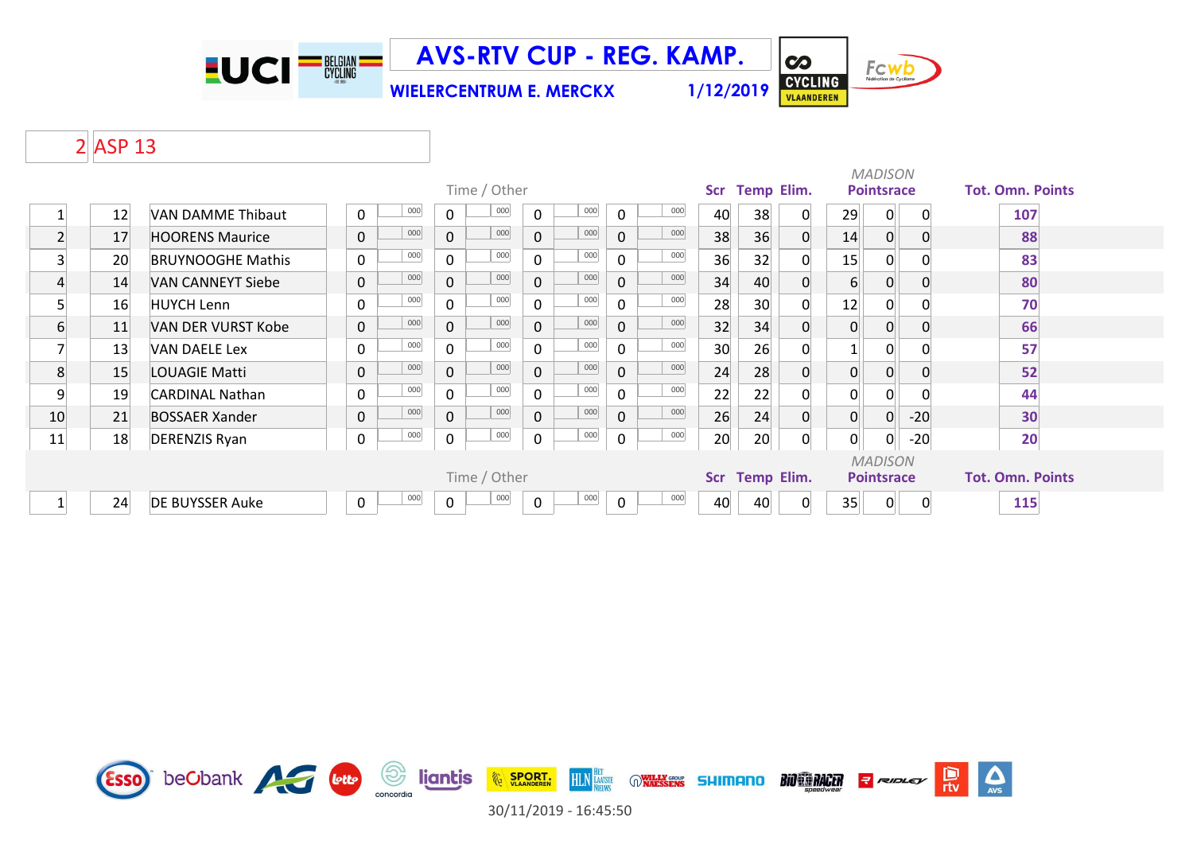

**WIELERCENTRUM E. MERCKX 1/12/2019**



# ASP 13

|                          |    |                          |                    |                     |              |         |              |     |                 |    |                   |                | <b>MADISON</b>    |             |                         |
|--------------------------|----|--------------------------|--------------------|---------------------|--------------|---------|--------------|-----|-----------------|----|-------------------|----------------|-------------------|-------------|-------------------------|
|                          |    |                          |                    | Time / Other        |              |         |              |     | <b>Scr</b>      |    | <b>Temp Elim.</b> |                | <b>Pointsrace</b> |             | <b>Tot. Omn. Points</b> |
|                          | 12 | VAN DAMME Thibaut        | 000<br>0           | 000<br>$\mathbf 0$  | $\Omega$     | 000     | $\Omega$     | 000 | 40              | 38 | $\mathbf{0}$      | 29             | 0                 | $\mathbf 0$ | 107                     |
| $\overline{2}$           | 17 | <b>HOORENS Maurice</b>   | 000<br>$\mathbf 0$ | 000<br>$\mathbf 0$  | $\mathbf 0$  | 000     | $\mathbf 0$  | 000 | 38              | 36 | $\Omega$          | 14             | $\overline{0}$    | $\Omega$    | 88                      |
| 3                        | 20 | <b>BRUYNOOGHE Mathis</b> | 000<br>$\mathbf 0$ | 000<br>$\mathbf 0$  | $\Omega$     | 000     | $\Omega$     | 000 | 36              | 32 | <sup>n</sup>      | 15             | 0                 |             | 83                      |
| 4                        | 14 | <b>VAN CANNEYT Siebe</b> | 000<br>$\mathbf 0$ | 000<br>$\mathbf 0$  | $\mathbf 0$  | 000     | $\mathbf{0}$ | 000 | 34              | 40 |                   | $6 \vert$      | $\overline{0}$    | 0           | 80                      |
| 5 <sup>1</sup>           | 16 | <b>HUYCH Lenn</b>        | 000<br>0           | 000<br>$\mathbf 0$  | $\Omega$     | 000     | $\Omega$     | 000 | 28              | 30 |                   | 12             | 0                 |             | 70                      |
| 6                        | 11 | VAN DER VURST Kobe       | 000<br>$\mathbf 0$ | 000<br>$\mathbf{0}$ | $\mathbf{0}$ | 000     | $\Omega$     | 000 | 32              | 34 |                   | $\Omega$       | 0                 |             | 66                      |
| $\overline{\phantom{a}}$ | 13 | VAN DAELE Lex            | 000<br>0           | 000<br>0            | $\Omega$     | $000\,$ | $\Omega$     | 000 | 30 <sup>°</sup> | 26 |                   |                | 0                 |             | 57                      |
| 8                        | 15 | LOUAGIE Matti            | 000<br>$\mathbf 0$ | 000<br>$\mathbf{0}$ | $\mathbf 0$  | 000     | $\mathbf 0$  | 000 | 24              | 28 |                   | $\overline{0}$ | 0                 |             | 52                      |
| 9                        | 19 | <b>CARDINAL Nathan</b>   | 000<br>0           | 000<br>$\mathbf 0$  | $\mathbf{0}$ | 000     | $\Omega$     | 000 | 22              | 22 |                   |                | 0                 |             | 44                      |
| 10                       | 21 | <b>BOSSAER Xander</b>    | 000<br>$\mathbf 0$ | 000<br>$\mathbf 0$  | $\mathbf 0$  | 000     | $\mathbf{0}$ | 000 | 26              | 24 |                   | $\overline{0}$ | $\overline{0}$    | $-20$       | 30                      |
| 11                       | 18 | <b>DERENZIS Ryan</b>     | 000<br>0           | 000<br>$\mathsf{O}$ | 0            | 000     | $\mathbf 0$  | 000 | 20              | 20 | 0                 | 0              | 0                 | $-20$       | 20                      |
|                          |    |                          |                    |                     |              |         |              |     |                 |    |                   |                | <b>MADISON</b>    |             |                         |
|                          |    |                          |                    | Time / Other        |              |         |              |     | <b>Scr</b>      |    | <b>Temp Elim.</b> |                | <b>Pointsrace</b> |             | <b>Tot. Omn. Points</b> |
|                          | 24 | <b>DE BUYSSER Auke</b>   | 000<br>0           | 000<br>0            | 0            | 000     | $\mathbf 0$  | 000 | 40              | 40 | 0                 | 35             | $\overline{0}$    | $\Omega$    | 115                     |

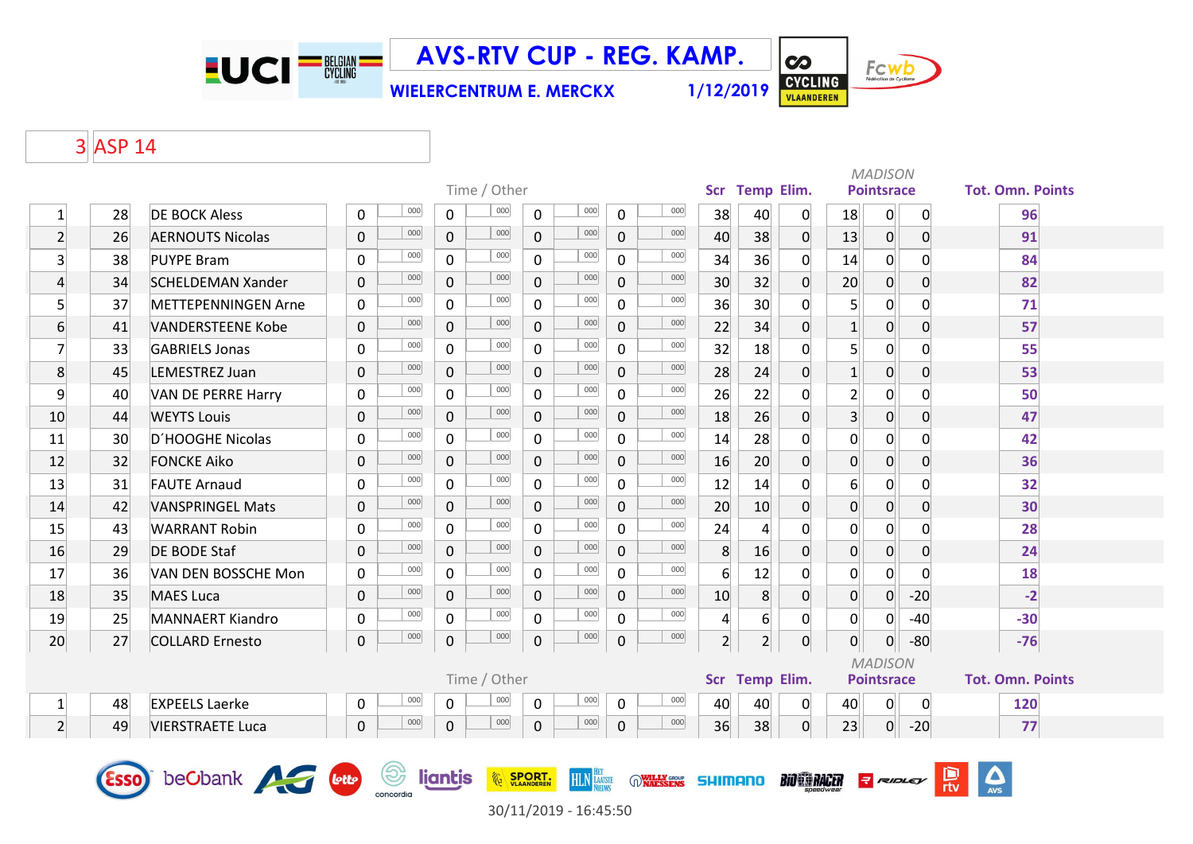

**WIELERCENTRUM E. MERCKX 1/12/2019**



 $\overline{\mathbf{c}}$ 

### 3 ASP 14

|                |             |                            |              |                |                | Time / Other |               |                      |             |                            |                 | Scr Temp Elim.   |                     |                | <b>MADISON</b><br><b>Pointsrace</b> |                | <b>Tot. Omn. Points</b> |
|----------------|-------------|----------------------------|--------------|----------------|----------------|--------------|---------------|----------------------|-------------|----------------------------|-----------------|------------------|---------------------|----------------|-------------------------------------|----------------|-------------------------|
| $\mathbf{1}$   | 28          | <b>DE BOCK Aless</b>       | 0            | 000            | 0              | 000          | $\mathbf 0$   | 000                  | 0           | 000                        | 38              | 40               | 0                   | 18             | 0                                   | 0              | 96                      |
| $\overline{2}$ | 26          | <b>AERNOUTS Nicolas</b>    | $\pmb{0}$    | 000            | 0              | 000          | $\mathbf{0}$  | 000                  | 0           | 000                        | 40              | 38               | $\overline{0}$      | 13             | $\overline{0}$                      | $\mathbf 0$    | 91                      |
| $\overline{3}$ | 38          | <b>PUYPE Bram</b>          | 0            | 000            | $\mathbf 0$    | 000          | $\mathbf 0$   | 000                  | $\mathbf 0$ | 000                        | 34              | 36               | 0                   | 14             | $\mathbf{0}$                        | $\mathbf{0}$   | 84                      |
| $\overline{4}$ | 34          | <b>SCHELDEMAN Xander</b>   | $\mathbf 0$  | 000            | 0              | 000          | $\mathbf 0$   | 000                  | $\mathbf 0$ | 000                        | 30              | 32               | 0                   | 20             | $\overline{0}$                      | $\overline{0}$ | 82                      |
| $\overline{5}$ | 37          | <b>METTEPENNINGEN Arne</b> | $\mathbf 0$  | 000            | $\overline{0}$ | 000          | $\Omega$      | 000                  | $\mathbf 0$ | 000                        | 36              | 30 <sup>°</sup>  | 0                   | $\overline{5}$ | $\mathsf{O}$                        | $\Omega$       | 71                      |
| 6              | 41          | <b>VANDERSTEENE Kobe</b>   | $\mathbf 0$  | 000            | 0              | 000          | $\Omega$      | 000                  | $\mathbf 0$ | 000                        | 22              | 34               | $\Omega$            | $\vert$ 1      | $\overline{0}$                      | $\mathbf{0}$   | 57                      |
| $\overline{7}$ | 33          | <b>GABRIELS Jonas</b>      | 0            | 000            | $\Omega$       | 000          | $\Omega$      | 000                  | $\Omega$    | 000                        | 32              | 18               | $\Omega$            | 5              | $\overline{0}$                      | $\Omega$       | 55                      |
| 8              | 45          | LEMESTREZ Juan             | $\mathbf 0$  | 000            | $\overline{0}$ | 000          | $\Omega$      | 000                  | $\mathbf 0$ | 000                        | 28              | 24               | 0                   | $\mathbf{1}$   | $\overline{0}$                      | $\overline{0}$ | 53                      |
| $\overline{9}$ | 40          | <b>VAN DE PERRE Harry</b>  | 0            | 000            | $\mathsf{O}$   | 000          | $\mathbf 0$   | 000                  | $\mathbf 0$ | 000                        | 26              | 22               | 0                   | $\overline{2}$ | $\mathsf{o}$                        | 0              | 50                      |
| 10             | 44          | <b>WEYTS Louis</b>         | $\Omega$     | 000            | 0              | 000          | $\Omega$      | 000                  | $\mathbf 0$ | 000                        | 18              | 26               | $\Omega$            | $\overline{3}$ | $\overline{0}$                      | $\overline{0}$ | 47                      |
| 11             | 30          | D'HOOGHE Nicolas           | $\mathbf{0}$ | 000            | 0              | 000          | $\mathbf 0$   | 000                  | $\mathbf 0$ | 000                        | 14              | 28               | $\Omega$            | 0              | 0                                   | $\mathbf{0}$   | 42                      |
| 12             | 32          | <b>FONCKE Aiko</b>         | $\mathbf 0$  | 000            | $\overline{0}$ | 000          | $\Omega$      | 000                  | $\mathbf 0$ | 000                        | 16              | 20               | $\overline{0}$      | $\mathbf 0$    | $\overline{0}$                      | $\overline{0}$ | 36                      |
| 13             | 31          | <b>FAUTE Arnaud</b>        | 0            | 000            | $\overline{0}$ | 000          | $\mathbf 0$   | 000                  | $\mathbf 0$ | 000                        | 12              | 14               | 0                   | 6              | $\mathsf{o}$                        | $\Omega$       | 32                      |
| 14             | 42          | <b>VANSPRINGEL Mats</b>    | $\mathbf 0$  | 000            | 0              | 000          | $\mathbf 0$   | 000                  | $\mathbf 0$ | 000                        | 20              | 10               | 0                   | $\mathbf 0$    | $\overline{0}$                      | $\overline{0}$ | 30                      |
| 15             | 43          | <b>WARRANT Robin</b>       | $\mathbf 0$  | 000            | $\overline{0}$ | 000          | $\Omega$      | 000                  | $\mathbf 0$ | 000                        | 24              | $\overline{4}$   | 0                   | $\overline{0}$ | $\overline{0}$                      | $\Omega$       | 28                      |
| 16             | 29          | <b>DE BODE Staf</b>        | $\Omega$     | 000            | $\mathbf{0}$   | 000          | $\Omega$      | 000                  | $\mathbf 0$ | 000                        | 8               | 16               | $\Omega$            | $\overline{0}$ | $\overline{0}$                      | $\mathbf{0}$   | 24                      |
| 17             | 36          | VAN DEN BOSSCHE Mon        | 0            | 000            | $\Omega$       | 000          | $\Omega$      | 000                  | $\Omega$    | 000                        | $6 \overline{}$ | 12               | $\Omega$            | 0              | $\overline{0}$                      | $\Omega$       | 18                      |
| 18             | 35          | <b>MAES Luca</b>           | $\mathbf 0$  | 000            | $\overline{0}$ | 000          | $\Omega$      | 000                  | 0           | 000                        | 10              | 8                | 0                   | $\overline{0}$ | $\overline{0}$                      | $-20$          | $-2$                    |
| 19             | 25          | <b>MANNAERT Kiandro</b>    | 0            | 000            | $\mathsf{O}$   | 000          | $\mathbf 0$   | 000                  | $\mathbf 0$ | 000                        | $\overline{4}$  | $6 \overline{6}$ | 0                   | $\mathbf 0$    | 0                                   | $-40$          | $-30$                   |
| 20             | 27          | <b>COLLARD Ernesto</b>     | 0            | 000            | 0              | 000          | 0             | 000                  | $\mathbf 0$ | 000                        | $\overline{2}$  | 2 <sup>1</sup>   | $\overline{0}$      | $\overline{0}$ | $\overline{0}$                      | $-80$          | $-76$                   |
|                |             |                            |              |                |                |              |               |                      |             |                            |                 |                  |                     |                | <b>MADISON</b>                      |                |                         |
|                |             |                            |              |                |                | Time / Other |               |                      |             |                            |                 | Scr Temp Elim.   |                     |                | <b>Pointsrace</b>                   |                | <b>Tot. Omn. Points</b> |
| $\mathbf{1}$   | 48          | <b>EXPEELS Laerke</b>      | 0            | 000            | 0              | 000          | $\mathbf 0$   | 000                  | $\mathbf 0$ | 000                        | 40              | 40               | $\overline{0}$      | 40             | $\mathsf{O}$                        | 0              | 120                     |
| 2 <sup>1</sup> | 49          | <b>VIERSTRAETE Luca</b>    | $\mathbf 0$  | 000            | 0              | 000          | $\mathbf 0$   | 000                  | $\mathbf 0$ | 000                        | 36              | 38               | 0                   | 23             | 0                                   | $-20$          | 77                      |
|                | <b>Esso</b> | beCbank <b>Allen</b> Louis |              | $\circledcirc$ | liantis        |              | <b>SPORT.</b> | <b>HLN</b> LAATSTE   |             | <b>WILLY GROUP</b> SHIMANO |                 |                  | <b>BIO EN RACER</b> |                | <b>R</b> RIDLEY                     |                | $\boldsymbol{\Delta}$   |
|                |             |                            |              | concordia      |                |              |               | $20/11/2010 10.1550$ |             |                            |                 |                  |                     |                |                                     |                |                         |

30/11/2019 - 16:45:50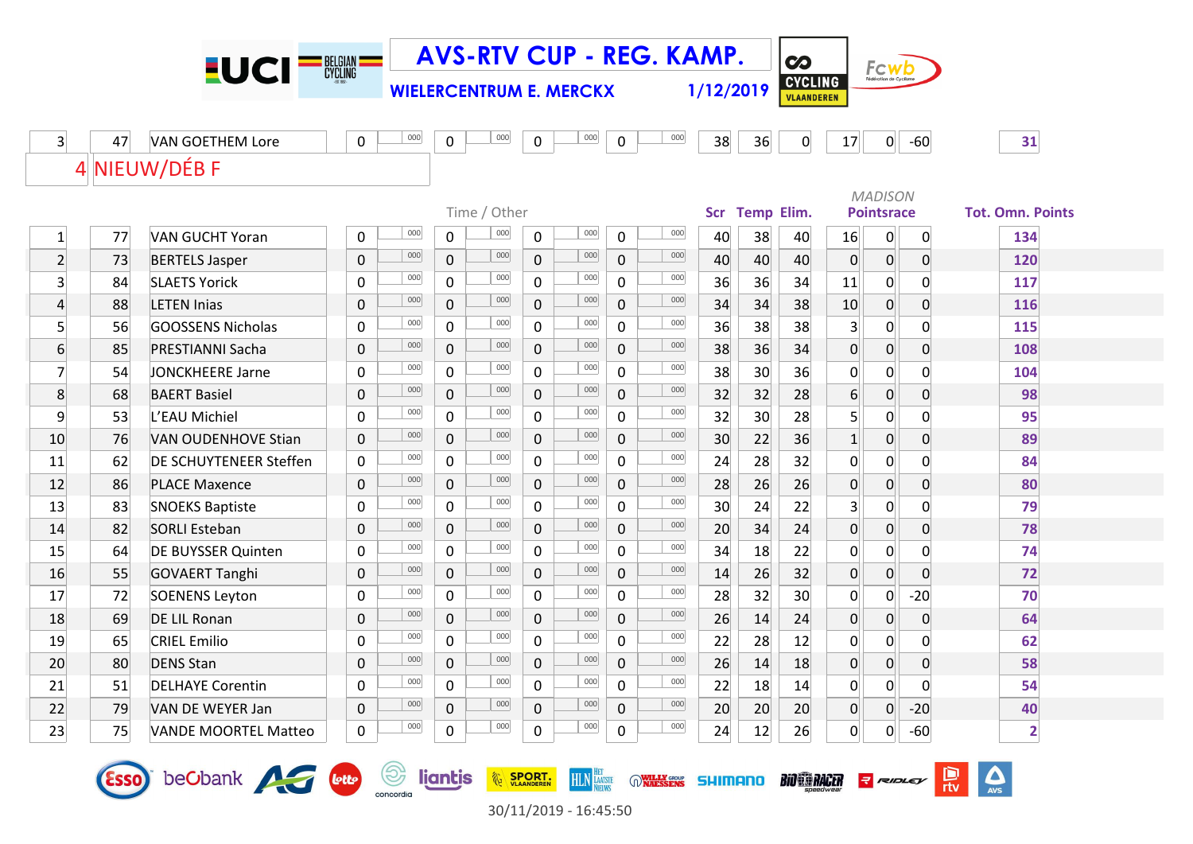|                |             | $-UCI$ $=$ $\frac{1}{2}$ $\frac{1}{2}$ $\frac{1}{2}$ $\frac{1}{2}$ $\frac{1}{2}$ $\frac{1}{2}$ $\frac{1}{2}$ $\frac{1}{2}$ $\frac{1}{2}$ $\frac{1}{2}$ $\frac{1}{2}$ $\frac{1}{2}$ $\frac{1}{2}$ $\frac{1}{2}$ $\frac{1}{2}$ $\frac{1}{2}$ $\frac{1}{2}$ $\frac{1}{2}$ $\frac{1}{2}$ $\frac{1}{2}$ $\frac{1}{2}$ $\$ |              |                  |              |                                |                |                    |                | <b>AVS-RTV CUP - REG. KAMP.</b> |                |                   | $\boldsymbol{\infty}$               |                |                   |                |                          |
|----------------|-------------|----------------------------------------------------------------------------------------------------------------------------------------------------------------------------------------------------------------------------------------------------------------------------------------------------------------------|--------------|------------------|--------------|--------------------------------|----------------|--------------------|----------------|---------------------------------|----------------|-------------------|-------------------------------------|----------------|-------------------|----------------|--------------------------|
|                |             |                                                                                                                                                                                                                                                                                                                      |              |                  |              | <b>WIELERCENTRUM E. MERCKX</b> |                |                    |                |                                 | 1/12/2019      |                   | <b>CYCLING</b><br><b>VLAANDEREN</b> |                | FCWD              |                |                          |
|                |             |                                                                                                                                                                                                                                                                                                                      |              |                  |              |                                |                |                    |                |                                 |                |                   |                                     |                |                   |                |                          |
| $\overline{3}$ | 47          | <b>VAN GOETHEM Lore</b>                                                                                                                                                                                                                                                                                              | 0            | 000              | 0            | 000                            | 0              | 000                | 0              | 000                             | 38             | 36                | $\mathbf 0$                         | 17             | 0                 | $-60$          | 31                       |
|                |             | 4 NIEUW/DÉB F                                                                                                                                                                                                                                                                                                        |              |                  |              |                                |                |                    |                |                                 |                |                   |                                     |                |                   |                |                          |
|                |             |                                                                                                                                                                                                                                                                                                                      |              |                  |              |                                |                |                    |                |                                 |                |                   |                                     |                | <b>MADISON</b>    |                |                          |
|                |             |                                                                                                                                                                                                                                                                                                                      |              |                  |              | Time / Other                   |                |                    |                |                                 | Scr            | <b>Temp Elim.</b> |                                     |                | <b>Pointsrace</b> |                | <b>Tot. Omn. Points</b>  |
| $\mathbf{1}$   | 77          | <b>VAN GUCHT Yoran</b>                                                                                                                                                                                                                                                                                               | 0            | 000              | $\mathbf 0$  | 000                            | 0              | 000                | 0              | 000                             | 40             | 38                | 40                                  | 16             | 0                 | 0              | 134                      |
| $\overline{2}$ | 73          | <b>BERTELS Jasper</b>                                                                                                                                                                                                                                                                                                | 0            | 000              | $\mathbf 0$  | 000                            | $\mathbf 0$    | 000                | 0              | 000                             | 40             | 40                | 40                                  | 0              | $\overline{0}$    | 0              | 120                      |
| $\overline{3}$ | 84          | <b>SLAETS Yorick</b>                                                                                                                                                                                                                                                                                                 | $\mathbf{0}$ | 000              | 0            | 000                            | 0              | 000                | 0              | 000                             | 36             | 36                | 34                                  | 11             | $\mathbf{O}$      | $\mathbf 0$    | 117                      |
| $\overline{4}$ | 88          | <b>LETEN Inias</b>                                                                                                                                                                                                                                                                                                   | 0            | 000              | $\mathbf 0$  | 000                            | $\mathbf 0$    | 000                | $\mathbf 0$    | 000                             | 34             | 34                | 38                                  | 10             | 0                 | 0              | 116                      |
| $\overline{5}$ | 56          | GOOSSENS Nicholas                                                                                                                                                                                                                                                                                                    | $\mathbf 0$  | 000              | $\mathsf{O}$ | 000                            | 0              | 000                | $\overline{0}$ | 000                             | 36             | 38                | 38                                  | $\overline{3}$ | $\overline{0}$    | $\overline{0}$ | 115                      |
| 6              | 85          | PRESTIANNI Sacha                                                                                                                                                                                                                                                                                                     | $\mathbf 0$  | 000              | $\mathbf{0}$ | 000                            | $\mathbf{0}$   | 000                | 0              | 000                             | 38             | 36                | 34                                  | 0              | 0                 | $\mathbf 0$    | 108                      |
| $\overline{7}$ | 54          | <b>JONCKHEERE Jarne</b>                                                                                                                                                                                                                                                                                              | 0            | 000              | 0            | 000                            | 0              | 000                | 0              | 000                             | 38             | 30                | 36                                  | 0              | 0                 | $\Omega$       | 104                      |
| 8              | 68          | <b>BAERT Basiel</b>                                                                                                                                                                                                                                                                                                  | 0            | 000              | 0            | 000                            | $\pmb{0}$      | 000                | 0              | 000                             | 32             | 32                | 28                                  | $6 \mid$       | 0                 | $\overline{0}$ | 98                       |
| $\overline{9}$ | 53          | L'EAU Michiel                                                                                                                                                                                                                                                                                                        | $\mathbf 0$  | 000              | 0            | 000                            | 0              | 000                | 0              | 000                             | 32             | 30                | 28                                  | 5 <sup>1</sup> | $\mathbf{O}$      | 0              | 95                       |
| 10             | 76          | <b>VAN OUDENHOVE Stian</b>                                                                                                                                                                                                                                                                                           | $\mathbf 0$  | 000              | $\mathbf{0}$ | 000                            | $\mathbf{0}$   | 000                | 0              | 000                             | 30             | 22                | 36                                  | 1              | 0                 | 0              | 89                       |
| 11             | 62          | <b>DE SCHUYTENEER Steffen</b>                                                                                                                                                                                                                                                                                        | $\mathbf 0$  | 000              | 0            | 000                            | 0              | 000                | 0              | 000                             | 24             | 28                | 32                                  | 0              | 0                 | 0              | 84                       |
| 12             | 86          | <b>PLACE Maxence</b>                                                                                                                                                                                                                                                                                                 | $\mathbf 0$  | 000              | $\mathbf{0}$ | 000                            | $\mathbf 0$    | 000                | 0              | 000                             | 28             | 26                | 26                                  | 0              | $\overline{0}$    | $\overline{0}$ | 80                       |
| 13             | 83          | <b>SNOEKS Baptiste</b>                                                                                                                                                                                                                                                                                               | $\mathbf{0}$ | 000              | $\mathbf{0}$ | 000                            | 0              | 000                | 0              | 000                             | 30             | 24                | 22                                  | 3              | 0                 | $\Omega$       | 79                       |
| 14             | 82          | <b>SORLI Esteban</b>                                                                                                                                                                                                                                                                                                 | $\mathbf 0$  | 000              | 0            | 000                            | $\mathbf 0$    | 000                | $\overline{0}$ | 000                             | 20             | 34                | 24                                  | $\mathbf 0$    | 0                 | 0              | 78                       |
| 15             | 64          | <b>DE BUYSSER Quinten</b>                                                                                                                                                                                                                                                                                            | 0            | 000              | 0            | 000                            | 0              | 000                | 0              | 000                             | 34             | 18                | 22                                  | 0              | $\overline{0}$    | 0              | 74                       |
| 16             | 55          | <b>GOVAERT Tanghi</b>                                                                                                                                                                                                                                                                                                | $\mathbf 0$  | 000              | 0            | 000                            | $\mathbf 0$    | 000                | $\overline{0}$ | 000                             | 14             | 26                | 32                                  | $\overline{0}$ | 0                 | $\overline{0}$ | 72                       |
| 17             | 72          | <b>SOENENS Leyton</b>                                                                                                                                                                                                                                                                                                | $\mathbf{0}$ | 000              | $\mathbf{0}$ | 000                            | 0              | 000                | 0              | 000                             | 28             | 32                | 30                                  | 0              | 0                 | $-20$          | 70                       |
| 18             | 69          | <b>DE LIL Ronan</b>                                                                                                                                                                                                                                                                                                  | 0            | 000              | $\mathbf 0$  | 000                            | $\pmb{0}$      | 000                | 0              | 000                             | 26             | 14                | 24                                  | 0              | $\overline{0}$    | $\overline{0}$ | 64                       |
| 19             | 65          | <b>CRIEL Emilio</b>                                                                                                                                                                                                                                                                                                  | 0            | 000              | 0            | 000                            | 0              | 000                | 0              | 000                             | 22             | 28                | 12                                  | $\mathsf{O}$   | 0                 | $\overline{0}$ | 62                       |
| 20             | 80          | <b>DENS Stan</b>                                                                                                                                                                                                                                                                                                     | $\Omega$     | 000              | 0            | 000                            | $\overline{0}$ | 000                | 0              | 000                             | 26             | 14                | 18                                  | $\overline{0}$ | 0                 | 0              | 58                       |
| 21             | 51          | <b>DELHAYE Corentin</b>                                                                                                                                                                                                                                                                                              | 0            | 000              | 0            | 000                            | 0              | 000                | 0              | 000                             | 22             | 18                | 14                                  | 0              | 0                 | 0              | 54                       |
| 22             | 79          | VAN DE WEYER Jan                                                                                                                                                                                                                                                                                                     | 0            | 000              | 0            | 000                            | 0              | 000                | 0              | 000                             | 20             | 20                | 20                                  | $\mathbf{0}$   | 0                 | $-20$          | 40                       |
| 23             | 75          | <b>VANDE MOORTEL Matteo</b>                                                                                                                                                                                                                                                                                          | 0            | 000              | 0            | 000                            | 0              | 000                | 0              | 000                             | 24             | 12                | 26                                  | $\overline{0}$ | 0                 | $-60$          | $\overline{2}$           |
|                | <b>Esso</b> | beObank <b>Avec Lette</b>                                                                                                                                                                                                                                                                                            |              | (වා<br>concordia | liantis      |                                | SPORT.         | <b>HLN LAATSTE</b> |                | <b>WILLY GROUP</b>              | <b>SHIMANO</b> |                   | <b>BIO SARCER</b>                   |                | <b>R</b> RIDLEY   |                | $\sum_{\text{AVS}}$<br>믮 |

30/11/2019 - 16:45:50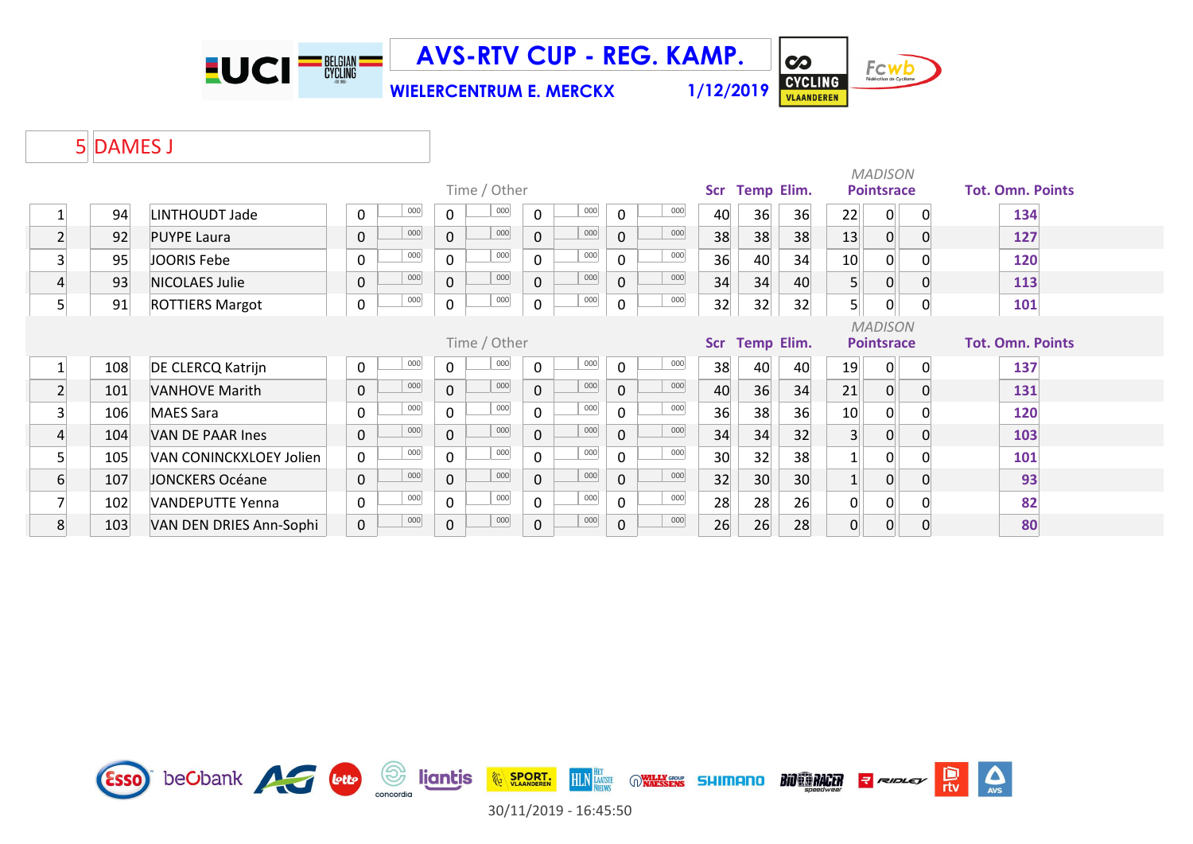

**WIELERCENTRUM E. MERCKX 1/12/2019**



**CO** 

#### 5 DAMES J

|                |     |                         |             |     |              |              |              |     |                  |     |            |                   |    |                | <b>MADISON</b>    |          |                         |
|----------------|-----|-------------------------|-------------|-----|--------------|--------------|--------------|-----|------------------|-----|------------|-------------------|----|----------------|-------------------|----------|-------------------------|
|                |     |                         |             |     |              | Time / Other |              |     |                  |     | <b>Scr</b> | <b>Temp Elim.</b> |    |                | <b>Pointsrace</b> |          | <b>Tot. Omn. Points</b> |
|                | 94  | LINTHOUDT Jade          | 0           | 000 | 0            | 000          | $\mathbf{0}$ | 000 | $\mathbf 0$      | 000 | 40         | 36                | 36 | 22             | $\overline{0}$    | 0        | 134                     |
| $\overline{2}$ | 92  | <b>PUYPE Laura</b>      | 0           | 000 | $\mathbf 0$  | 000          | $\mathbf 0$  | 000 | $\mathbf 0$      | 000 | 38         | 38                | 38 | 13             | $\overline{0}$    | $\Omega$ | 127                     |
| 3              | 95  | JOORIS Febe             | 0           | 000 | $\mathbf{0}$ | 000          | 0            | 000 | $\mathbf 0$      | 000 | 36         | 40                | 34 | 10             | 0                 |          | 120                     |
| $\overline{4}$ | 93  | NICOLAES Julie          | 0           | 000 | $\Omega$     | 000          | $\Omega$     | 000 | $\overline{0}$   | 000 | 34         | 34                | 40 | 5 <sup>1</sup> | 0                 | $\Omega$ | 113                     |
| 5              | 91  | <b>ROTTIERS Margot</b>  | 0           | 000 | $\mathbf 0$  | 000          | $\mathbf 0$  | 000 | $\boldsymbol{0}$ | 000 | 32         | 32                | 32 | 5 <sub>1</sub> | 0                 | 0        | 101                     |
|                |     |                         |             |     |              |              |              |     |                  |     |            |                   |    |                | <b>MADISON</b>    |          |                         |
|                |     |                         |             |     |              | Time / Other |              |     |                  |     | <b>Scr</b> | <b>Temp Elim.</b> |    |                | <b>Pointsrace</b> |          | <b>Tot. Omn. Points</b> |
| $1\vert$       | 108 | DE CLERCQ Katrijn       | 0           | 000 | $\Omega$     | 000          | $\Omega$     | 000 | $\mathbf 0$      | 000 | 38         | 40                | 40 | 19             | 0                 | $\Omega$ | 137                     |
| $\overline{2}$ | 101 | <b>VANHOVE Marith</b>   | 0           | 000 | $\mathbf{0}$ | 000          | $\Omega$     | 000 | $\mathbf 0$      | 000 | 40         | 36                | 34 | 21             | $\overline{0}$    | 0        | 131                     |
| 3              | 106 | <b>MAES Sara</b>        | 0           | 000 | $\Omega$     | 000          | $\Omega$     | 000 | $\mathbf{0}$     | 000 | 36         | 38                | 36 | 10             | 0                 |          | 120                     |
| 4              | 104 | VAN DE PAAR Ines        | $\mathbf 0$ | 000 | $\mathbf{0}$ | 000          | $\mathbf 0$  | 000 | $\mathbf 0$      | 000 | 34         | 34                | 32 | $\overline{3}$ | $\overline{0}$    | 0        | 103                     |
| 5              | 105 | VAN CONINCKXLOEY Jolien | $\mathbf 0$ | 000 | $\Omega$     | 000          | $\Omega$     | 000 | $\mathbf{0}$     | 000 | 30         | 32                | 38 |                | $\overline{0}$    |          | 101                     |
| 6              | 107 | <b>JONCKERS Océane</b>  | $\mathbf 0$ | 000 | $\mathbf 0$  | 000          | $\mathbf 0$  | 000 | $\mathbf 0$      | 000 | 32         | 30                | 30 |                | $\overline{0}$    | 0        | 93                      |
|                | 102 | VANDEPUTTE Yenna        | 0           | 000 | $\Omega$     | 000          | $\Omega$     | 000 | $\mathbf 0$      | 000 | 28         | 28                | 26 | 0              | 0                 |          | 82                      |
| 8              | 103 | VAN DEN DRIES Ann-Sophi | $\mathbf 0$ | 000 | $\mathbf{0}$ | 000          | 0            | 000 | $\mathbf 0$      | 000 | 26         | 26                | 28 | $\mathbf 0$    | $\overline{0}$    | 0        | 80                      |



30/11/2019 - 16:45:50